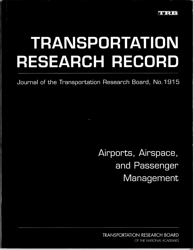# TRANSPORTATION RESEARCH RECORD

Journal of the Transportation Research Board, No. 1915

# Airports, Airspace, and Passenger Management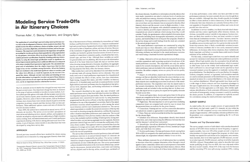The application of a mixed logit approach using stated-preference survey data to the development of itinerary choice models is described. The models include the effects on itinerary choices of airline, airport, aircraft type, fare, access time, flight time, scheduled arrival time, and on-time per' formance. The empirical results demonstrate the importance of explicitly accounting for traveler preference heterogeneities by using segmentation by trip purpose, interaction effects involving frequent flier status, and random parameter specifications. Explicitly including preference heterogeneity by using the mixed logit specification results in significant statistical improvements and important coeflicient differences as compared with using a standard fixed-parameter logit model. The calculated marginal rates of substitution show the relative importance that travelers assign to key service variations among itineraries. All service features that were included in the modet had significant values to travelers, and fhe values were affected, as would be expected, by the traveler's frequent flier status. Atthough current reservation and ticketing services provide information to prospective travelers on most of these itinerary features, most services do not report on-time performance, which, however, can be an important selection criterion for travelers.

Thomas Adler, C, Stacey Falzarano, and Gnegony Spitz

Since 2000, the authors have conducted an annual survey of U.S. domestic air travelers. The survey covers travelers' perceptions of reservation and ticketing services, airports, airlines, and equipment. It includes an adaptive conjoint exercise addressing in-flight amenities such as seating, food, and entertainment and a set of stated-preference experiments dealing with choices among alternative air travel itineraries. A set of itinerary choice models is described here that were developed by using these survey data.

### **APPROACH**

Several previous research efforts have modeled the choice among alternative travel itineraries by using aggregate itinerary share data.

The U.S. domestic air travel market has changed in many ways over the past several years. One important change has been an increase in the range of options available to travelers in many markets. Lowfare airlines provide options with trade-offs that in many cases involve use of more-remote airports, more-circuitous routings, and additional transfers. However, some of the low-fare carriers, such as Southwest Airlines, have chosen those more-remote airports in part to avoid the congestion in primary airports and thus increase their on-time performance. These additional options create a rich mix of choices for travelers in many markets.

The research described in this paper also uses revealed- and stated-preference survey data from individual travelers but differs in two important respects from past studies. First, the stated-preference experiments were customized for each traveler by using heuristics programmed into the survey software so that they represented realistic alternatives for one of the respondent's recent trips. Each of the statedpreference exercises asked respondents to select among the actual travel itinerary and two such constructed alternatives. The survey asked respondents to consider the actual circumstances of the trip that was made in choosing among the altematives, and thus the responses reflect situation-dependent preferences and constraints. The second important difference from previous studies is that the analyses of the survey data included explicit modeling of heterogeneity among individual travelers, notjust among aggregate traveler segments. Random parameter (mixed) logit was used to estimate the coefficients of itinerary choice models. This approach removes potential bias from the estimates of average service trade-off levels and provides additional insight into the degree of variation that exists in key service preferences across the traveler population.

The survey that collected the revealed-preference data and statedpreference exercises is an annual Intemet-based U.S. domestic air travel survey that is conducted by the authors. The survey is administered to a sample of approximately 600 individuals who have made paid domestic air trips within the past year. The survey questionnaire collects detailed information on the most recent of these trips, including the trip purpose, desired arrival time, reservation and ticketing service, airports used for the trip, airline, aircraft type, and details of

One of the most recent of these, undertaken by researchers at United Airlines and Northwestern University (1), compares multinomial logit and several forms of generalized extreme value models that are structured by time of departure, airline, and class of service. Because of the limitations of aggregate itinerary share data, the independent variables are limited to general characterizations of level of service (number of connections), connection quality, overall airline fare ratios, aircraft type, and time of day. Although these variables are useful for general airline sewice planning, they do not provide information about all of the basic behavioral trade-offs that air travelers make when choosing among altemative itineraries. In addition, the aggregate data do not include characteristics of the individual travelers or of the trip purposes that likely affect the itinerary choices.

Other studies have used survey data taken from individual travelers to estimate trade-offs among itinerary service elements. One such study used a set of stated-preference experiments for a hypothetical trip to estimate the effects of fare, carrier, fare class restrictions, flight timing, frequent flier status, and other variables on itinerary choices (2). A Swedish study used both revealed-preference (actual flight choices) and stated-preference data for a hypothetical trip (price, service level, departure time, and booking restrictions) to estimate service trade-offs  $(3)$ .

a set that respondents rank (assuming equal price) in advance of the stated-preference exercises. The respondent sees only the airline name in the scenario descriptions, but both the actual airline and its initial preference rank are included in the resulting data set. In these exercises, the airline company serves as a proxy for service quality elements. sonable and from self-identified other airports. Respondents rank these airports (not considering access time) in advance of the statedpreference exercises. The respondent sees only the airport name in the scenario descriptions, but both the actual airport and its initial preference rank are included in the resulting data set. In these exer-

o Aircraft type. Aircraft are identified by four general categories: propeller/propjet, regional jet (100 seats or fewer), standard jet (single aisle), and wide-body (two aisles). • On-time performance. On-time performance levels varying from 50% to 99% are assigned to the stated-preference alternative; for the chosen flight, the respondent indicates whether it was on time. These attributes represent the set of information that is available to travelers when they compare itineraries either through a travel agent or (more commonly) online and as such represent a reasonable set of variables to use in modeling individual itinerary choices. Most online reservation services show all of these items with the exception The survey sample consists of individuals with a median household income of \$75,000 whose median air travel frequency is approximately monthly. Just over 10% of the sample are mid- or top-level elite members of at least one frequent flier program, in which membership was reported for each airline in five categories: not a member, basic member, first-level elite (typically 25,000 mi/year), secondleve1 elite (typically 50,000 mi/year), and top-level elite (typically 100,000+ mi/year). Respondents were asked to describe their most recent qualifying air trip. For over 80%, this was a trip made within the most recent 6 months. About  $43\%$  of the trips were for business and the remaining 57% were split among vacation (19%), visiting

the chosen itinerary. In addition to information about the choices that were made, respondents are asked to indicate levels of satisfaction with, and preferences among, alternative ticketing, airport, and airline altematives. Two types of stated-preference exercises are included; one covers basic service elements that a¡e assumed to directly affect itinerary choices and the second covers in-flight amenities. A database of locations of all airports with scheduled commercial service The stated-preference experiments are constructed by using the of on-time performance; some online sites have provided on-time performance estimates but most currently do not, even though those data are available. Although fare class should arguably be included as either a choice attribute or choice dimension, in fact the majority of domestic first-class itineraries are currently flown as free or lowcost upgrades to frequent fliers and many airlines and routes do not provide two-class service. In addition to service variables, it is likely that individual characteristics and trip context significantly affect itinerary choices. An obvious, measurable context variable is trip purpose; business travelers are likely less sensitive to fares and more sensitive to travel times than are nonbusiness travelers. Travelers' incomes, travel frequencies, and frequent flier membership likely have similar effects. In addition, across travelers and even for a given traveler across different trip contexts, there is likely considerable variation in sensitivities to itinerary attributes due to less easily measured context differences. As for many other choice situations, these variations are likely important, and failure to consider them could result in biased estimates of the attribute effects.

• Connections. Nonstop and one- and two-connection alternatives ¡ Fares. Fares are varied around the level that the respondent paid . Schedule time difference. Respondents identify their desired As noted earlier, the survey sample consists of approximately 600 individuals who had made a paid U.S. domestic air trip within the past year. The 600 completed surveys were derived from an initial sample of approximately 1,000 randomly selected qualified travelers. Respondents were compensated for completing the 30- to 45-min online interview.

is used to identify possible airport altematives for the flight, and respondents are asked to indicate which among those they would consider. Finally, the questionnaire collects detailed information about the traveler including basic demographic information, air travel frequency, and membership levels in frequent flier programs. Details of the survey design and overall findings from the study are contained in the annual project report (4). recent past trip as a base altemative, and a synthesized "realistic" altemative is developed by using information about the base trip. The following attributes are included in the stated-preference exercises and varied using a fractional factorial experimental design.

• Airline. Alternative airlines are chosen for inclusion from among • Airport. As with airlines, airports are chosen for inclusion from among a set that are identified both from the airport database as reacises, the airport serves as a proxy for airport service quality elements beyond access time. o Access and egress times. Access and egress times for the given For this study, a mixed logit model form was used to identify and account for variations in individual and context preferences across the sample. Mixed logit models relax the assumption that all individuals in a given segment have identical preferences, which is assumed in other forms such as the widely used multinomial logit model. Each coefficient in a mixed logit model can be specified as fixed (assumed constant across the segment) or randomly varying with a given distribution. The distribution can be specified as, for example, uniform, triangular, normal, or lognormal, and simulation methods are used to estimate parameters of the distributions (e.g., the mean and standard deviation for a normal distribution or the mean and range for a uniform distribution). Mixed logit models have been used for a wide range of choice contexts and have important advantages in this type of application [see, for example, the paper by Hensher and Greene (5)]. For this application as with many other similar applications, identification of both systematic differences in preferences and levels of heterogeneity among consumers is useful in modeling the choice process. In addition, it is important to explicitly account for correlations among the stated-preference experiments.

airports are computed on the basis of airport locations and respondentsupplied trip end locations and are presented for each scenario.

. Flight times. The total departure-to-arrival-gate times (including connection times) are computed and varied in ways to ensure that the presented times are realistic for the given itinerary.

are selectively created as appropriate to each airport pair. for the chosen flight.

arrival time, and a time representing the difference between that time and the itinerary's arrival time is presented.

### SURVEY SAMPLE

### Traveler and Trip Gharacteristics

Resource Systems Group, 55 Railroad Row, White River Junction, VT 05001.

Transportation Besearch Becord: Journal of the Transportation Besearch Board' No. 1915, Transportation Research Board of the National Academies, Washington, D.C., 2005, pp. 20-26.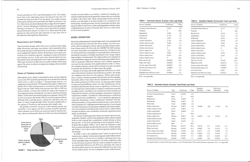friends and relatives (35%), and other purposes (3%). The median travel time to the originating airport was about 45 min, but  $11\%$ reported traveling more than 2 h to the airport. The median amount of time spent waiting at the airport before the flight was between 1 and <sup>1</sup>% h. These times are almost identical to the averages from the authors' pre-9lll surveys, indicating that additional security is not significantly affecting wait times  $(6)$ . The median travel time between originating and destination airports was about  $3\frac{1}{2}$  h. More than 30% of the reported air trips had at least one connection or stop. Only 10% of the itineraries had significant flight delays.

### **Reservations and Ticketing**

There have been dramatic shifts in the ways in which travelers obtain flight information and make reservations, which potentially affect the amount and type of information that ravelers have available and use in making their itinerary choices. Reductions in travel agent commissions have resulted in agencies' charging for many reservations and ticketing services. At the same time, Intemet-based services, both airline-based and independent, have improved and expanded to offer many travel services that were previously available only through agents. The survey includes several questions dealing with reservations and ticketing.

### Choice of Ticketing Locations

travelers are more likely to use airlines' websites for ticketing, presumably benefiting from the frequent flier bonuses that are commonly available at the airline sites. Those who purchase directly from the airlines (over the phone or at ticket counters) are a somewhat more mixed group, including travelers who fly infrequently and those who pay personally for their travel. Airline and independent websites attract a disproportionate fraction of frequent fliers who are at elite levels of one or more programs.

Although the survey sample is dominated by those who have Intemet access, only 60% reported acquiring their most recent ticket from an online source, as shown in Figure 1. This percentage, however, is a significant increase from the  $33\%$  reported in the authors' 2000 survey and the 40% in 2001 and represents an acceleration of the trend that began in the late 1990s. Most of the increase from 2001 to 2002 has been on airlines' websites and virtually all comes at the expense of travel agent ticketing and telephone or in-person purchases from the airlines. Of the tickets purchased through travel agencies, almost  $60\%$ are from local agents and another 20% are from local agencies that are affiliated with a national agency. Among the web-based sites, the share of tickets bought through Orbitz increased significantly at the expense of Travelocity and numerous other smaller sites.

The profiles of travelers using each of the ticketing options vary somewhat. Travel agents and other purchase locations (predominantly corporate travel offices) are used more often by business travelers, who are reimbursed for their travel. However, the most frequent

### MODEL ESTIMATION

| Service Variables              | Coefficient | T-Stat  |
|--------------------------------|-------------|---------|
| Constant (actual itinerary)    | 0.117       | 1.5     |
| Propeller                      | 0           | N/A     |
| Regional jet                   | 0.276       | 2.3     |
| Standard jet                   | 0.512       | 4.3     |
| Wide-body                      | 0.972       | 6.4     |
| Airline ranked first           | 0.578       | 6.7     |
| Airline ranked second          | 0.265       | 2.8     |
| Airline ranked third           | 0.278       | 2.6     |
| Airline ranked lowest          | $\theta$    | N/A     |
| Airport ranked first           | 1.17        | 9.8     |
| Airport ranked second          | 0.738       | 5.9     |
| Airport ranked third           | 0.454       | 3.3     |
| Airport ranked lowest          | $\Omega$    | N/A     |
| One-way fare $(\$)$            | $-0.0125$   | $-22.7$ |
| Flight time (min)              | $-0.00734$  | $-11.0$ |
| Access-egress time (min)       | $-0.00422$  | $-5.7$  |
| On-time performance $(\%)$     | 0.00709     | 5.3     |
| # of connections               | $-0.303$    | $-4.8$  |
| Schedule time difference (min) | $-0.00126$  | $-3.5$  |

TABLE 2 Estimation Results: Nonbusiness Travel Logit Model

 $N/A$  = not applicable.  $N/A$  = not applicable.

Fixed and random parameter (mixed) logit models were estimated with the stated-preference data from the survey sample. Several econometric software packages currently support simulation-based estimation of these models; for this work, the LIMDEP NLOGIT package was used. All models were adapted to account for correlation across the stated-preference experiments for each individual, reflecting the fact that the responses to multiple experiments from a single respondent are likely not independent. The initial models were estimated by using both Halton sequences and less-efficient pseudo-random draws, with no systematic differences observed, and so Halton sequences were used for the remainder of the model estimation work (7). Posterior estimates of person-specific utility functions were also calculated to examine the distribution of values across the sample.

Because of the large statistically significant differences in coefficient values between business and nonbusiness travelers, the sample was segmented into those two trip purposes. Within each trip purpose, a variety ofrandom parameter specifications and demographic interaction effects were tested. Normal distributions were used for the random parameters for three reasons: (a) they generally resulted in improved log-likelihood values over other distributions,  $(b)$  the simulated distributions did not result in significant incidences of reversed signs for a priori positive or negative coefhcients across the population, and (c) problems were experienced in the estimation of lognormal distributions for the nonnegative parameters of properly transformed variables. (Variables for which nonpositive coefficients were expected were multiplied by  $-1$ , as is required for applying the lognormal distribution to those coefficients.) Problems with estimating parameters of lognormal distributions have been noted by other researchers  $(8)$ . Although random heterogeneity of some degree was observed in most of the parameter estimations , the random parameters were included in the final models only for those variables whose standard deviations were consistently statistically significant across model specifications.

Interactions of mean parameter values were tested with several demographic variables, and the most significant of these effects resulted from an elite frequent flier membership variable defined as those having mid- or top-level membership in the designated airline's frequent flier program. Tables 1 and 2 detail the estimation results from a multinomial logit specification that assumes no heterogeneity, and Tables 3 and 4 show results with heterogeneity modeled using mixed logit.

In Tables 1 and 2, the coefficients and  $T$ -ratios are shown for all tested service variables. In the business segment model without heterogeneity (Table 1), all core service attribute coefficients have intuitively reasonable signs and magnitudes. The utility coefficients of the jet aircraft types are greater than the value for propeller planes but not statistically different at the 95% level. Similarly, the value of the third-ranked airport is not statistically different from that of the lowest-ranked airport. For the nonbusiness model without hetero-



### TABLE 1 Estimetion Results: Business Trevel Logit Model

| Service Variables              | Coefficient    | T-Stat  |
|--------------------------------|----------------|---------|
| Constant (actual itinerary)    | 0.242          | 2.0     |
| Propeller                      | $\theta$       | N/A     |
| Regional jet                   | 0.340          | 1.8     |
| Standard jet                   | 0.176          | 0.9     |
| Wide-body                      | 0.347          | 1.4     |
| Airline ranked first           | 0.734          | 4.8     |
| Airline ranked second          | 0.458          | 2.7     |
| Airline ranked third           | 0.471          | 2.6     |
| Airline ranked lowest          | $\overline{0}$ | N/A     |
| Airport ranked first           | 1.23           | 5.8     |
| Airport ranked second          | 0.503          | 2.3     |
| Airport ranked third           | $-0.243$       | $-0.9$  |
| Airport ranked lowest          | $\theta$       | N/A     |
| One-way fare (\$)              | $-0.00556$     | $-10.9$ |
| Flight time (min)              | $-0.00883$     | $-7.1$  |
| Access-egress time (min)       | $-0.00575$     | $-4.5$  |
| On-time performance (%)        | 0.00806        | 3.7     |
| # of connections               | $-0.368$       | $-3.0$  |
| Schedule time difference (min) | $-0.00200$     | $-2.3$  |

### TABLE 3 Estimetion Hesults: Business Travel Mixed Logit Model

| Service Variables              | Type   | Coefficient | $T-Stat$ | Standard<br>Deviation | T-Stat | Elite Flyer<br>Interaction | T-Stat |
|--------------------------------|--------|-------------|----------|-----------------------|--------|----------------------------|--------|
| Constant (actual itinerary)    | Fixed  | $-0.4163$   | $-4.5$   |                       |        |                            |        |
| Propeller                      | Base   | $\Omega$    | N/A      |                       |        |                            |        |
| Regional jet                   | Fixed  | 0.5078      | 3.9      |                       |        |                            |        |
| Standard jet                   | Fixed  | 0.4077      | 3.0      |                       |        |                            |        |
| Wide-body                      | Fixed  | 0.5808      | 3.6      |                       |        |                            |        |
| Airline ranked first           | Normal | 0.9817      | 8.8      | 0.4786                | 4.3    | 1.9136                     | 4.6    |
| Airline ranked second          | Fixed  | 0.8833      | 7.2      |                       |        |                            |        |
| Airline ranked third           | Fixed  | 0.6636      | 5.2      |                       |        |                            |        |
| Airline ranked lowest          | Base   | $\theta$    | N/A      |                       |        |                            |        |
| Airport ranked first           | Normal | 0.9817      | 8.8      | 0.6783                | 6.4    | 0.2510                     | 0.5    |
| Airport ranked second          | Fixed  | 0.9434      | 6.6      |                       |        |                            |        |
| Airport ranked third           | Fixed  | 0.6353      | 4.0      |                       |        |                            |        |
| Airport ranked lowest          | Base   | $\theta$    | N/A      |                       |        |                            |        |
| One-way fare $(\$)$            | Normal | $-0.0127$   | $-20.4$  | 0.0129                | 17.3   | 0.0129                     | 13.3   |
| Flight time (min)              | Normal | $-0.0136$   | $-14.3$  | 0.0065                | 5.0    | 0.0119                     | 3.4    |
| Access-egress time (min)       | Normal | 0.0108      | $-8.8$   | 0.0171                | 9.3    | 0.0050                     | 1.0    |
| On-time performance $(\%)$     | Normal | 0.0308      | 14.2     | 0.0540                | 17.6   | 0.0176                     | 3.1    |
| # of connections               | Normal | $-0.4540$   | $-4.7$   | 1.5086                | 12.3   | $-0.2359$                  | $-0.7$ |
| Schedule time difference (min) | Normal | $-0.0052$   | $-7.1$   | 0.0094                | 8.4    | $-0.0018$                  | $-0.5$ |

FIGUHE 1 Ticket purchase location.

rho-squared relative to model with only constants = 0.16; 256 individuals; 2,560 stated preference experiments. N/A = not applicable.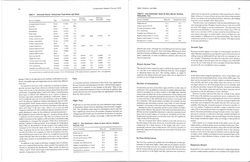# TABLE 4 Estimation Results: Nonbusiness Travel Mixed Logit Model

| Service Variables              | Type        | Coefficient | $T$ -Stat | Standard<br>Deviation | T-Stat | Elite Flyer<br>Interaction | T-Stat |
|--------------------------------|-------------|-------------|-----------|-----------------------|--------|----------------------------|--------|
| Constant (actual itinerary)    | Fixed       | 0.1246      | 2.4       |                       |        |                            |        |
| Propeller                      | <b>Base</b> | $\theta$    | N/A       |                       |        |                            |        |
| Regional jet                   | Fixed       | 0.3818      | 5.2       |                       |        |                            |        |
| Standard jet                   | Fixed       | 0.5734      | 7.6       |                       |        |                            |        |
| Wide-body                      | Fixed       | 1.1987      | 12.0      |                       |        |                            |        |
| Airline ranked first           | Normal      | 0.7526      | 13.2      | 1.0615                | 15.0   | 0.7055                     | 3.8    |
| Airline ranked second          | Fixed       | 0.4123      | 6.8       |                       |        |                            |        |
| Airline ranked third           | Fixed       | 0.3794      | 6.0       |                       |        |                            |        |
| Airline ranked lowest          | Base        | $\Omega$    | N/A       |                       |        |                            |        |
| Airport ranked first           | Normal      | 1.9941      | 22.0      | 1.9978                | 25.0   | $-0.2727$                  | $-1.5$ |
| Airport ranked second          | Fixed       | 1.1529      | 14.1      |                       |        |                            |        |
| Airport ranked third           | Fixed       | 0.8860      | 9.9       |                       |        |                            |        |
| Airport ranked lowest          | Base        | $\Omega$    | N/A       |                       |        |                            |        |
| One-way fare (\$)              | Normal      | $-0.0264$   | $-37.1$   | 0.0239                | 34.1   | 0.0060                     | 7.4    |
| Flight time (min)              | Normal      | $-0.0120$   | $-23.0$   | 0.0054                | 7.9    | 0.0088                     | 4.8    |
| Access-egress time (min)       | Normal      | $-0.0080$   | $-14.3$   | 0.0193                | 22.1   | $-0.0031$                  | $-1.4$ |
| On-time performance (%)        | Normal      | 0.0129      | 12.6      | 0.0218                | 16.6   | $-0.0208$                  | $-6.5$ |
| # of connections               | Normal      | $-0.3628$   | $-8.0$    | 1.1884                | 19.3   | 0.1574                     | 0.9    |
| Schedule time difference (min) | Normal      | $-0.0016$   | $-6.3$    | 0.0001                | 0.3    | 0.0009                     | 0.7    |

rho-squared relative to model with only constants = 0.21; 339 individuals; 3,390 stated preference experiments.  $N/A$  = not applicable.

geneity (Table 2), all estimated service attribute coefficients have intuitively reasonable signs and magnitudes and are statistically different from zero.

As reported in previous work, explicitly accounting for heterogeneity can have significant effects on estimated mean coefficient values and, in turn, on the inferences that are drawn from the model coefficients. Comparing Tables 1 and 2 with Tables 3 and 4 illustrates those types of effects with differences up to a factor of almost 3 between equivalent statistically significant coefficients. Tables 3 and 4 include the same set of service attributes as those in Tables 1 and 2, but there are additional columns indicating the type of coefficient specified ("fixed" means assumed constant within the segment, "normal" means assumed to be normally distributed within the segment, and "base" is the base value, which is set to zero for each categorical attribute). For the coefficients that are assumed to be normally distributed, values for the additional estimated parametersthe standard deviations within the segment-are given along with the T-statistics for those parameters. The final two columns show the additive increment to the random coefficients that is attributed to elite membership in a frequent flier program ("Elite Flyer Interaction") and the T-statistic for that increment. As an example, for nonbusiness trips (Table 4), the preference for the traveler's first-ranked airline increases by 0.71 from the mean value 0.75, to 1.46, for elite-level fliers. In general, the service-level values are substantially damped for elite-level fliers. For example, for elite-level business travelers, fare sensitivity goes close to zero. However, as might be expected, the model indicates that elite-level fliers on business trips are significantly more sensitive to on-time performance than are other business travelers.

In addition to the model coefficients, marginal rates of substitution were computed between fare values and all of the random coefficients by simulating the distributions. These results are shown in Tables 5 and 6. These mixed logit model estimation results reveal a number of important service effects.

### Fare

As would be expected, sensitivities to fare levels vary significantly between business and nonbusiness travelers, with the former approximately half as sensitive to fare changes as the latter. There is significant random heterogeneity in fare sensitivities. In addition, fare sensitivities for elite-level frequent fliers are significantly lower than those for other travelers.

### **Flight Time**

Flight time as used here includes the total scheduled origin-airportto-destination-airport trip time, including connection time, if applicable. The scheduled origin-airport-to-destination-airport trip time has a significant value across all travelers. Business travelers are willing to pay \$70 (each way) for each hour of reduction in trip time. Nonbusiness travelers will pay, on average, a little less than half of

|                       | TABLE 5 Fare Substitution Values for Basic Service Variables: |  |  |  |
|-----------------------|---------------------------------------------------------------|--|--|--|
| <b>Business Trips</b> |                                                               |  |  |  |

| Service Variables                 | Mean $(\$)$ | <b>Standard Deviation</b> |
|-----------------------------------|-------------|---------------------------|
| Flight time (h)                   | 69.7        | 39.2                      |
| Access-egress time (h)            | 62.5        | 41.3                      |
| On-time performance (10%)         | 38.2        | 40.8                      |
| # of connections                  | 53.7        | 48.5                      |
| Schedule time difference (h)      | 30.3        | 22.9                      |
| Highest ranked airline vs. lowest | 96.1        | 55.9                      |
| Highest ranked airport vs. lowest | 145.8       | 52.4                      |
| Standard jet vs. propeller        | 32.1        | N/A                       |
|                                   |             |                           |

### Adler, Falzarano, and Spitz

TABLE 6 Fare Substitution Values for Basic Service Variables: **Nonbusiness Trips** 

| Service Variables                 | Mean $($ ) | Standard Devia |
|-----------------------------------|------------|----------------|
| Flight time (h)                   | 31.2       | 23.2           |
| Access-egress time (h)            | 26.1       | 28.8           |
| On-time performance $(10\%)$      | 6.4        | 9.1            |
| # of connections                  | 18.8       | 23.3           |
| Schedule time difference (h)      | 4.8        | 5.7            |
| Highest ranked airline vs. lowest | 37.8       | 36.4           |
| Highest ranked airport vs. lowest | 87.2       | 53.4           |
| Standard jet vs. propjet          | 21.7       | N/A            |
|                                   |            |                |

that (\$31 per hour). Although the actual flying times between major destinations do not vary much, there can be large differences in scheduled times because of different itineraries (for example, different airports, connections, or both) and different schedule allowances for airport congestion.

### **Airport Access Time**

The amount of time required to get to and from the airport is valued at a rate that is not statistically different from the value assigned to airport-to-airport trip time. This finding implies, as might be expected, that airport access and egress times are as important to travelers as are in-flight travel times.

### **Number of Connections**

Connections can have at least three types of effects on the value of an itinerary. First, an additional connection invariably adds travel time, which is accounted for, in these models, in the flight time. Second, connections can affect the on-time performance of the itinerary and that effect is also separately measured in these models. The effect that is measured here is the additional inconvenience associated with the connection. This inconvenience includes, for example, the disembarking and reboarding required, long walks (or runs) through terminals, and having to shut down and restart laptop computers.

Business travelers are especially sensitive to the number of connections in their itinerary; they perceive that each connection represents a \$54 loss in value beyond the reductions in value from increased travel times and increased chance of missing the scheduled arrival time. Nonbusiness travelers place a somewhat lower, but still significant, value of about \$19/connection.

The use of airport hubs allows airlines to provide service to a broader range of city pairs. However, it results in the necessity for connections for a large fraction of the longer trips and a correspondingly reduced value of that service. For business travelers in particular, large perceived penalties are associated with those extra connections.

### **On-Time Performance**

The FAA has continued to publish data describing the on-time performance of individual flights. These data are provided to travelers **Departure Airport** by some reservation services, but certainly not by all. Those services that do not provide the data presumably exclude them because they Respondents were asked to indicate alternative originating airports are not inclusive of all flights and they represent past experience, that they would consider, and these were included in the flight choices

ation  $\overline{\phantom{0}}$ 

which may or may not be an indicator of the experience for a future flight. However, if some of those services also believe that travelers do not care about or do not understand these indicators, the findings from this survey strongly refute that position.

Travelers react very consistently to the on-time performance measure of percent on time. Business travelers place a value of over \$38 for each 10% change in on-time performance. This fact means that the perceived difference in value between a flight that is 90% on time versus one that is 85% on time would be about \$20 per oneway trip per passenger. As noted earlier, elite-level fliers are even more sensitive to differences in on-time performance. The value for nonbusiness travelers is closer to \$6 for a similar 10% improvement in on-time performance.

## Aircraft Type

Business travelers appear to be eager to avoid propjets, but there is little difference in preference among other types of aircraft; they are willing to pay an additional \$40 per trip to fly on a regional jet versus a propjet. Nonbusiness travelers are somewhat more sensitive across the range of aircraft types; they are willing to pay almost \$40 extra to fly on a wide-body jet versus a propjet but less than half that amount to fly on a standard jet versus a propjet.

### **Airline**

In the choice-based conjoint experiments, survey respondents were shown all of the standard flight details, along with an airline name. The basic service elements (fare, schedule, airport, on-time performance) were all fully specified, so the airline name was a proxy (as it is in real flight choices) for all of the unspecified service elements such as onboard amenities, frequent flier benefits, and perceived quality of service. The airline values derived from these exercises can be interpreted as the net differences of those elements.

Business travelers indicated that they are willing to pay almost \$100 more to fly with their most-preferred carrier as opposed to their least-preferred airline, again assuming that all other service elements were equal between the flights. This value has increased significantly in the past year (compared with results from the 2001 survey), presumably reflecting the increased exposure of business travelers to low-cost airlines. Nonbusiness travelers assign a somewhat lower value, \$38, to their preferred carrier as compared with their least preferred. The actual preferences among the major carriers vary regionally and by customer as reflected in the large standard deviations of these parameters. In addition and not surprisingly, the elite frequent fliers assign considerably higher value, on average, to their preferred airlines.

Other reports  $(4, 6)$  contain details of the utility values for individual airlines, and those details are not included in this paper. However, it should be noted that the utility values after the fare and other service effects are removed, as is explicitly done in this analysis, results in a mix of low-fare and conventional carriers with the highest utility values. JetBlue and Southwest have generally high carrier brand utility, as does Midwest Airlines, to those who know of their service.